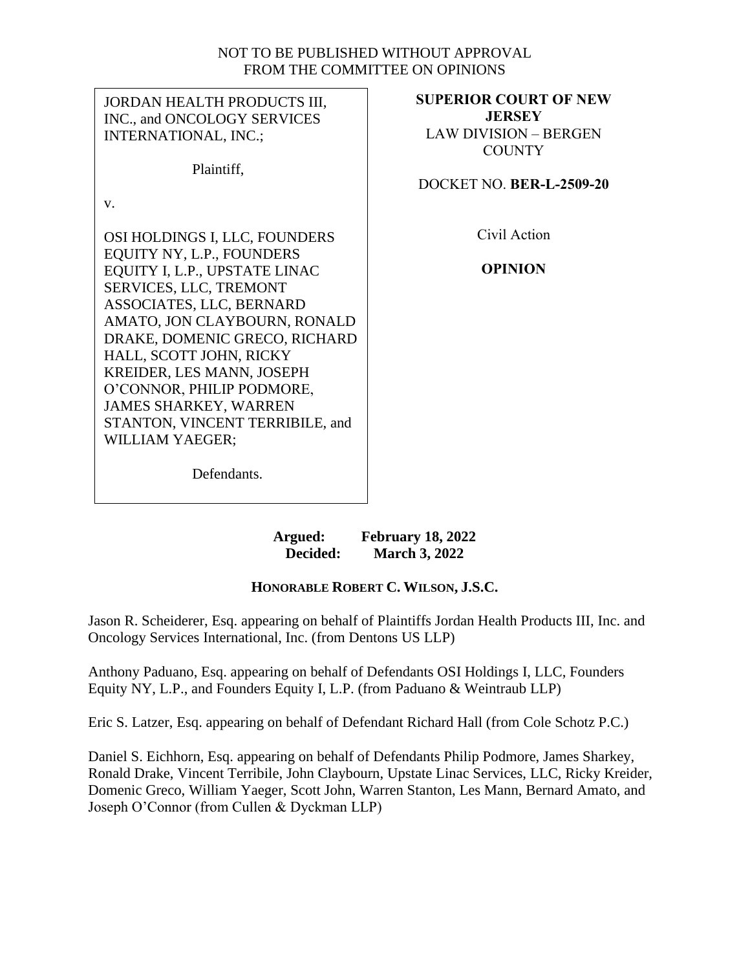## NOT TO BE PUBLISHED WITHOUT APPROVAL FROM THE COMMITTEE ON OPINIONS

| JORDAN HEALTH PRODUCTS III,<br>INC., and ONCOLOGY SERVICES | <b>SUPERIOR COURT OF NEW</b><br><b>JERSEY</b> |
|------------------------------------------------------------|-----------------------------------------------|
| <b>INTERNATIONAL, INC.;</b>                                | <b>LAW DIVISION - BERGEN</b>                  |
|                                                            | <b>COUNTY</b>                                 |
| Plaintiff,                                                 | DOCKET NO. BER-L-2509-20                      |
| V.                                                         |                                               |
| OSI HOLDINGS I, LLC, FOUNDERS                              | Civil Action                                  |
| EQUITY NY, L.P., FOUNDERS                                  |                                               |
| EQUITY I, L.P., UPSTATE LINAC                              | <b>OPINION</b>                                |
| SERVICES, LLC, TREMONT                                     |                                               |
| ASSOCIATES, LLC, BERNARD                                   |                                               |
| AMATO, JON CLAYBOURN, RONALD                               |                                               |
| DRAKE, DOMENIC GRECO, RICHARD<br>HALL, SCOTT JOHN, RICKY   |                                               |
| KREIDER, LES MANN, JOSEPH                                  |                                               |
| O'CONNOR, PHILIP PODMORE,                                  |                                               |
| <b>JAMES SHARKEY, WARREN</b>                               |                                               |
| STANTON, VINCENT TERRIBILE, and                            |                                               |
| <b>WILLIAM YAEGER;</b>                                     |                                               |
| Defendants.                                                |                                               |

**Argued: February 18, 2022 Decided: March 3, 2022**

# **HONORABLE ROBERT C. WILSON, J.S.C.**

Jason R. Scheiderer, Esq. appearing on behalf of Plaintiffs Jordan Health Products III, Inc. and Oncology Services International, Inc. (from Dentons US LLP)

Anthony Paduano, Esq. appearing on behalf of Defendants OSI Holdings I, LLC, Founders Equity NY, L.P., and Founders Equity I, L.P. (from Paduano & Weintraub LLP)

Eric S. Latzer, Esq. appearing on behalf of Defendant Richard Hall (from Cole Schotz P.C.)

Daniel S. Eichhorn, Esq. appearing on behalf of Defendants Philip Podmore, James Sharkey, Ronald Drake, Vincent Terribile, John Claybourn, Upstate Linac Services, LLC, Ricky Kreider, Domenic Greco, William Yaeger, Scott John, Warren Stanton, Les Mann, Bernard Amato, and Joseph O'Connor (from Cullen & Dyckman LLP)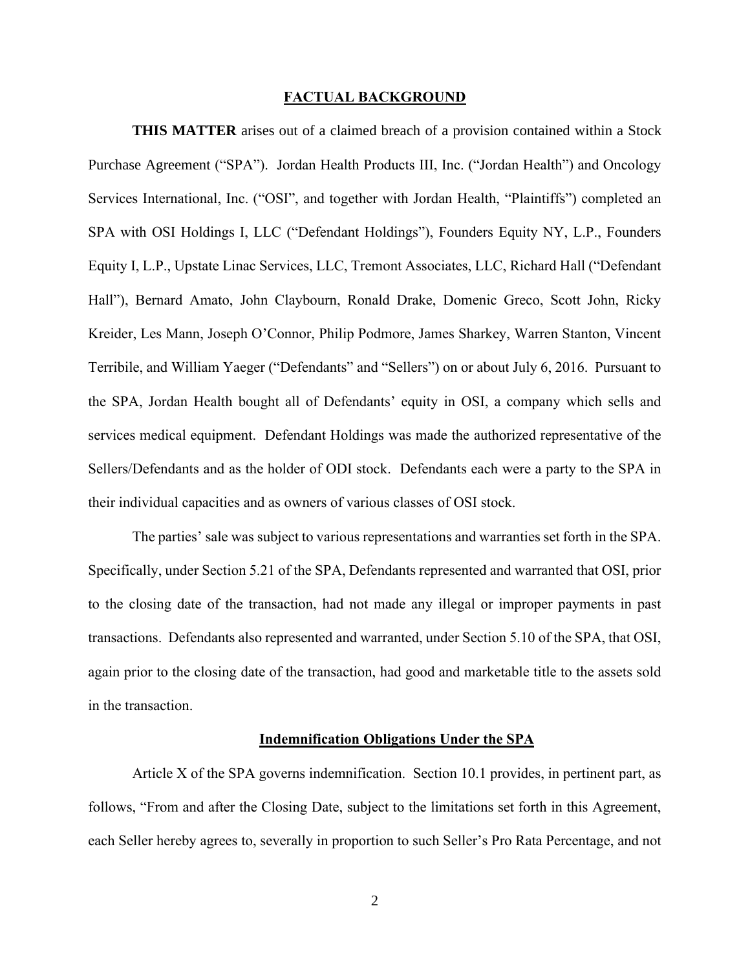#### **FACTUAL BACKGROUND**

**THIS MATTER** arises out of a claimed breach of a provision contained within a Stock Purchase Agreement ("SPA"). Jordan Health Products III, Inc. ("Jordan Health") and Oncology Services International, Inc. ("OSI", and together with Jordan Health, "Plaintiffs") completed an SPA with OSI Holdings I, LLC ("Defendant Holdings"), Founders Equity NY, L.P., Founders Equity I, L.P., Upstate Linac Services, LLC, Tremont Associates, LLC, Richard Hall ("Defendant Hall"), Bernard Amato, John Claybourn, Ronald Drake, Domenic Greco, Scott John, Ricky Kreider, Les Mann, Joseph O'Connor, Philip Podmore, James Sharkey, Warren Stanton, Vincent Terribile, and William Yaeger ("Defendants" and "Sellers") on or about July 6, 2016. Pursuant to the SPA, Jordan Health bought all of Defendants' equity in OSI, a company which sells and services medical equipment. Defendant Holdings was made the authorized representative of the Sellers/Defendants and as the holder of ODI stock. Defendants each were a party to the SPA in their individual capacities and as owners of various classes of OSI stock.

The parties' sale was subject to various representations and warranties set forth in the SPA. Specifically, under Section 5.21 of the SPA, Defendants represented and warranted that OSI, prior to the closing date of the transaction, had not made any illegal or improper payments in past transactions. Defendants also represented and warranted, under Section 5.10 of the SPA, that OSI, again prior to the closing date of the transaction, had good and marketable title to the assets sold in the transaction.

#### **Indemnification Obligations Under the SPA**

Article X of the SPA governs indemnification. Section 10.1 provides, in pertinent part, as follows, "From and after the Closing Date, subject to the limitations set forth in this Agreement, each Seller hereby agrees to, severally in proportion to such Seller's Pro Rata Percentage, and not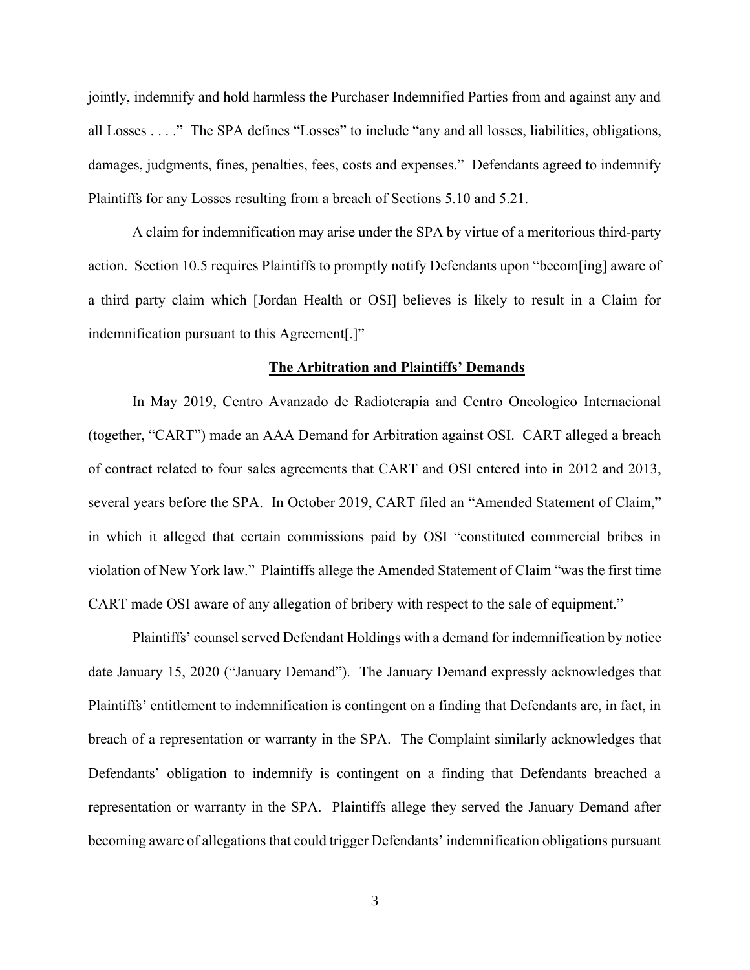jointly, indemnify and hold harmless the Purchaser Indemnified Parties from and against any and all Losses . . . ." The SPA defines "Losses" to include "any and all losses, liabilities, obligations, damages, judgments, fines, penalties, fees, costs and expenses." Defendants agreed to indemnify Plaintiffs for any Losses resulting from a breach of Sections 5.10 and 5.21.

A claim for indemnification may arise under the SPA by virtue of a meritorious third-party action. Section 10.5 requires Plaintiffs to promptly notify Defendants upon "becom[ing] aware of a third party claim which [Jordan Health or OSI] believes is likely to result in a Claim for indemnification pursuant to this Agreement[.]"

#### **The Arbitration and Plaintiffs' Demands**

In May 2019, Centro Avanzado de Radioterapia and Centro Oncologico Internacional (together, "CART") made an AAA Demand for Arbitration against OSI. CART alleged a breach of contract related to four sales agreements that CART and OSI entered into in 2012 and 2013, several years before the SPA. In October 2019, CART filed an "Amended Statement of Claim," in which it alleged that certain commissions paid by OSI "constituted commercial bribes in violation of New York law." Plaintiffs allege the Amended Statement of Claim "was the first time CART made OSI aware of any allegation of bribery with respect to the sale of equipment."

Plaintiffs' counsel served Defendant Holdings with a demand for indemnification by notice date January 15, 2020 ("January Demand"). The January Demand expressly acknowledges that Plaintiffs' entitlement to indemnification is contingent on a finding that Defendants are, in fact, in breach of a representation or warranty in the SPA. The Complaint similarly acknowledges that Defendants' obligation to indemnify is contingent on a finding that Defendants breached a representation or warranty in the SPA. Plaintiffs allege they served the January Demand after becoming aware of allegations that could trigger Defendants' indemnification obligations pursuant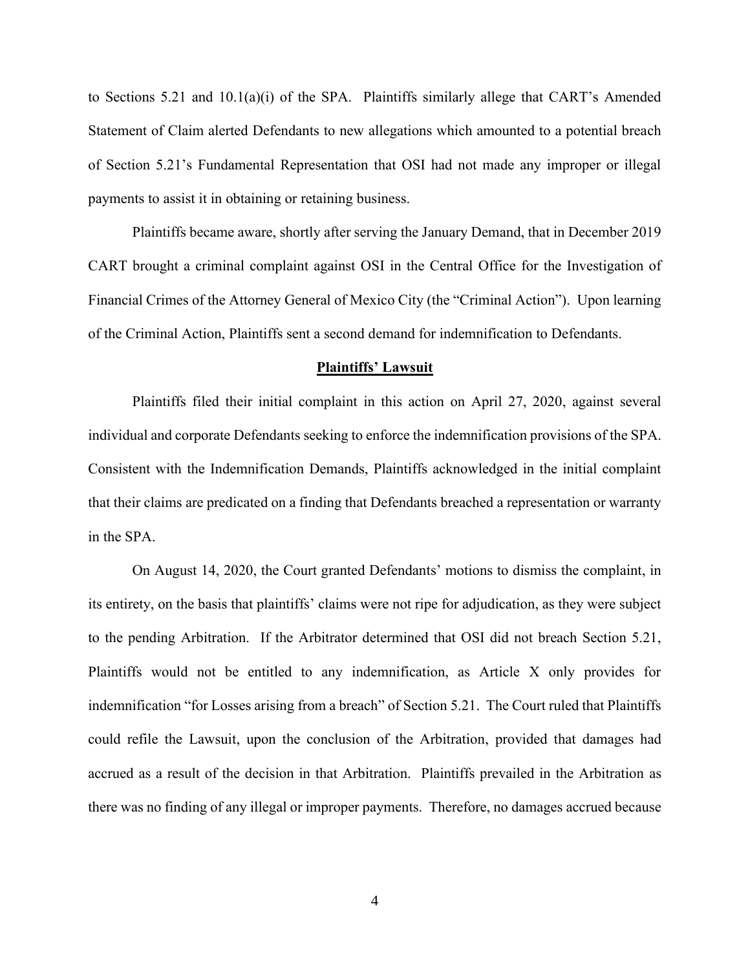to Sections 5.21 and 10.1(a)(i) of the SPA. Plaintiffs similarly allege that CART's Amended Statement of Claim alerted Defendants to new allegations which amounted to a potential breach of Section 5.21's Fundamental Representation that OSI had not made any improper or illegal payments to assist it in obtaining or retaining business.

Plaintiffs became aware, shortly after serving the January Demand, that in December 2019 CART brought a criminal complaint against OSI in the Central Office for the Investigation of Financial Crimes of the Attorney General of Mexico City (the "Criminal Action"). Upon learning of the Criminal Action, Plaintiffs sent a second demand for indemnification to Defendants.

#### **Plaintiffs' Lawsuit**

Plaintiffs filed their initial complaint in this action on April 27, 2020, against several individual and corporate Defendants seeking to enforce the indemnification provisions of the SPA. Consistent with the Indemnification Demands, Plaintiffs acknowledged in the initial complaint that their claims are predicated on a finding that Defendants breached a representation or warranty in the SPA.

On August 14, 2020, the Court granted Defendants' motions to dismiss the complaint, in its entirety, on the basis that plaintiffs' claims were not ripe for adjudication, as they were subject to the pending Arbitration. If the Arbitrator determined that OSI did not breach Section 5.21, Plaintiffs would not be entitled to any indemnification, as Article X only provides for indemnification "for Losses arising from a breach" of Section 5.21. The Court ruled that Plaintiffs could refile the Lawsuit, upon the conclusion of the Arbitration, provided that damages had accrued as a result of the decision in that Arbitration. Plaintiffs prevailed in the Arbitration as there was no finding of any illegal or improper payments. Therefore, no damages accrued because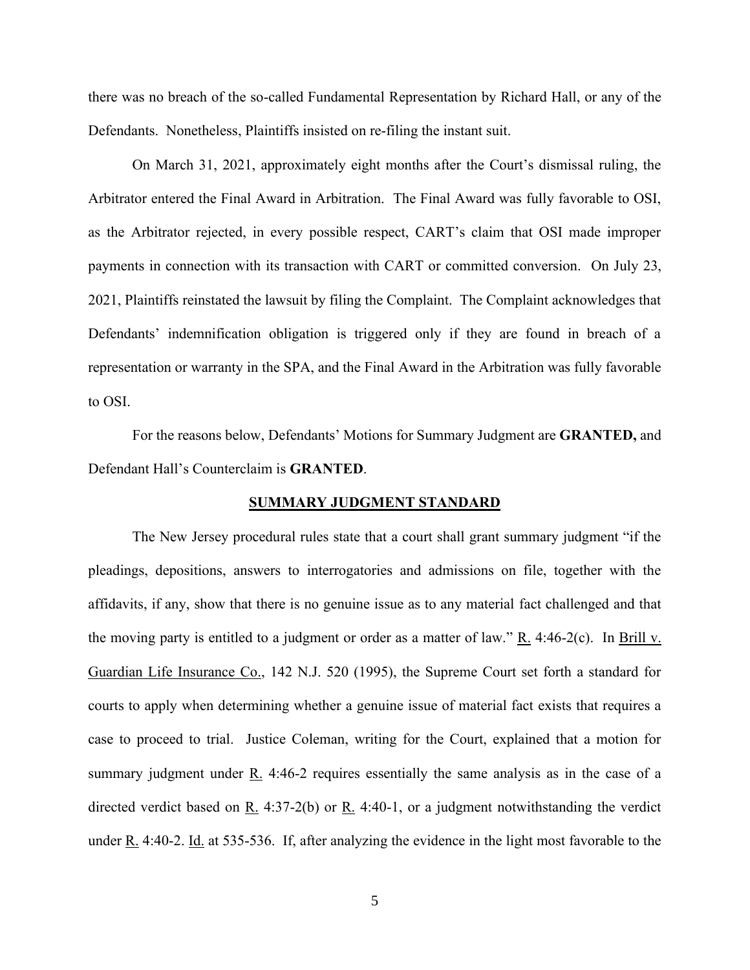there was no breach of the so-called Fundamental Representation by Richard Hall, or any of the Defendants. Nonetheless, Plaintiffs insisted on re-filing the instant suit.

On March 31, 2021, approximately eight months after the Court's dismissal ruling, the Arbitrator entered the Final Award in Arbitration. The Final Award was fully favorable to OSI, as the Arbitrator rejected, in every possible respect, CART's claim that OSI made improper payments in connection with its transaction with CART or committed conversion. On July 23, 2021, Plaintiffs reinstated the lawsuit by filing the Complaint. The Complaint acknowledges that Defendants' indemnification obligation is triggered only if they are found in breach of a representation or warranty in the SPA, and the Final Award in the Arbitration was fully favorable to OSI.

For the reasons below, Defendants' Motions for Summary Judgment are **GRANTED,** and Defendant Hall's Counterclaim is **GRANTED**.

#### **SUMMARY JUDGMENT STANDARD**

The New Jersey procedural rules state that a court shall grant summary judgment "if the pleadings, depositions, answers to interrogatories and admissions on file, together with the affidavits, if any, show that there is no genuine issue as to any material fact challenged and that the moving party is entitled to a judgment or order as a matter of law."  $R_1$ . 4:46-2(c). In Brill v. Guardian Life Insurance Co., 142 N.J. 520 (1995), the Supreme Court set forth a standard for courts to apply when determining whether a genuine issue of material fact exists that requires a case to proceed to trial. Justice Coleman, writing for the Court, explained that a motion for summary judgment under  $\underline{R}$ . 4:46-2 requires essentially the same analysis as in the case of a directed verdict based on R. 4:37-2(b) or R. 4:40-1, or a judgment notwithstanding the verdict under R. 4:40-2. Id. at 535-536. If, after analyzing the evidence in the light most favorable to the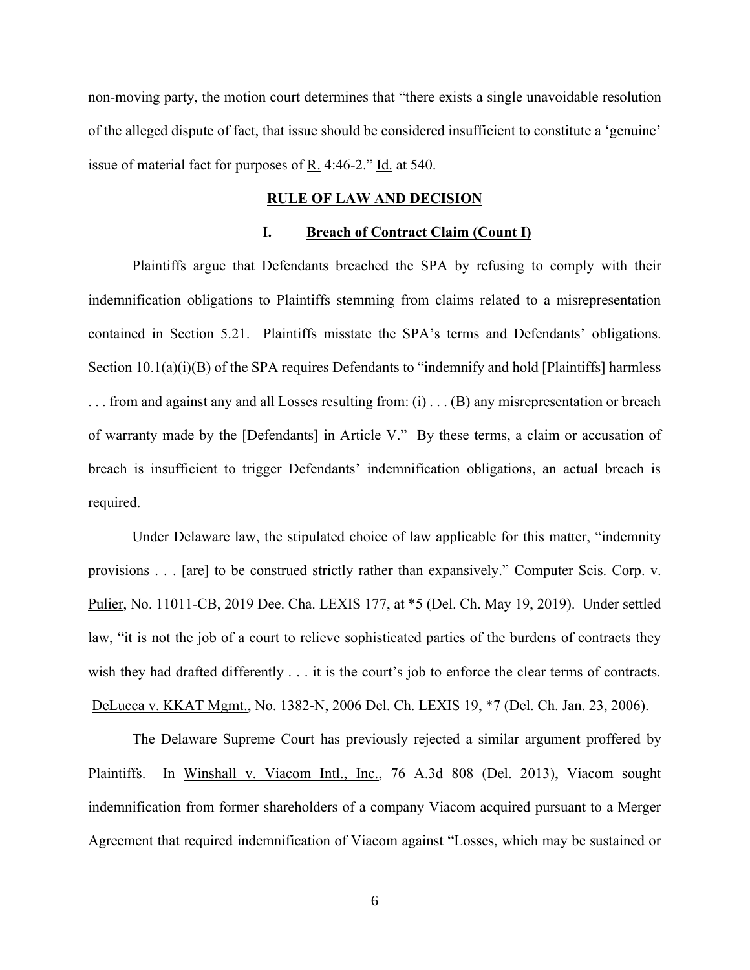non-moving party, the motion court determines that "there exists a single unavoidable resolution of the alleged dispute of fact, that issue should be considered insufficient to constitute a 'genuine' issue of material fact for purposes of  $\underline{R}$ . 4:46-2." Id. at 540.

#### **RULE OF LAW AND DECISION**

## **I. Breach of Contract Claim (Count I)**

Plaintiffs argue that Defendants breached the SPA by refusing to comply with their indemnification obligations to Plaintiffs stemming from claims related to a misrepresentation contained in Section 5.21. Plaintiffs misstate the SPA's terms and Defendants' obligations. Section 10.1(a)(i)(B) of the SPA requires Defendants to "indemnify and hold [Plaintiffs] harmless . . . from and against any and all Losses resulting from: (i) . . . (B) any misrepresentation or breach of warranty made by the [Defendants] in Article V." By these terms, a claim or accusation of breach is insufficient to trigger Defendants' indemnification obligations, an actual breach is required.

Under Delaware law, the stipulated choice of law applicable for this matter, "indemnity provisions . . . [are] to be construed strictly rather than expansively." Computer Scis. Corp. v. Pulier, No. 11011-CB, 2019 Dee. Cha. LEXIS 177, at \*5 (Del. Ch. May 19, 2019). Under settled law, "it is not the job of a court to relieve sophisticated parties of the burdens of contracts they wish they had drafted differently . . . it is the court's job to enforce the clear terms of contracts. DeLucca v. KKAT Mgmt., No. 1382-N, 2006 Del. Ch. LEXIS 19, \*7 (Del. Ch. Jan. 23, 2006).

The Delaware Supreme Court has previously rejected a similar argument proffered by Plaintiffs. In Winshall v. Viacom Intl., Inc., 76 A.3d 808 (Del. 2013), Viacom sought indemnification from former shareholders of a company Viacom acquired pursuant to a Merger Agreement that required indemnification of Viacom against "Losses, which may be sustained or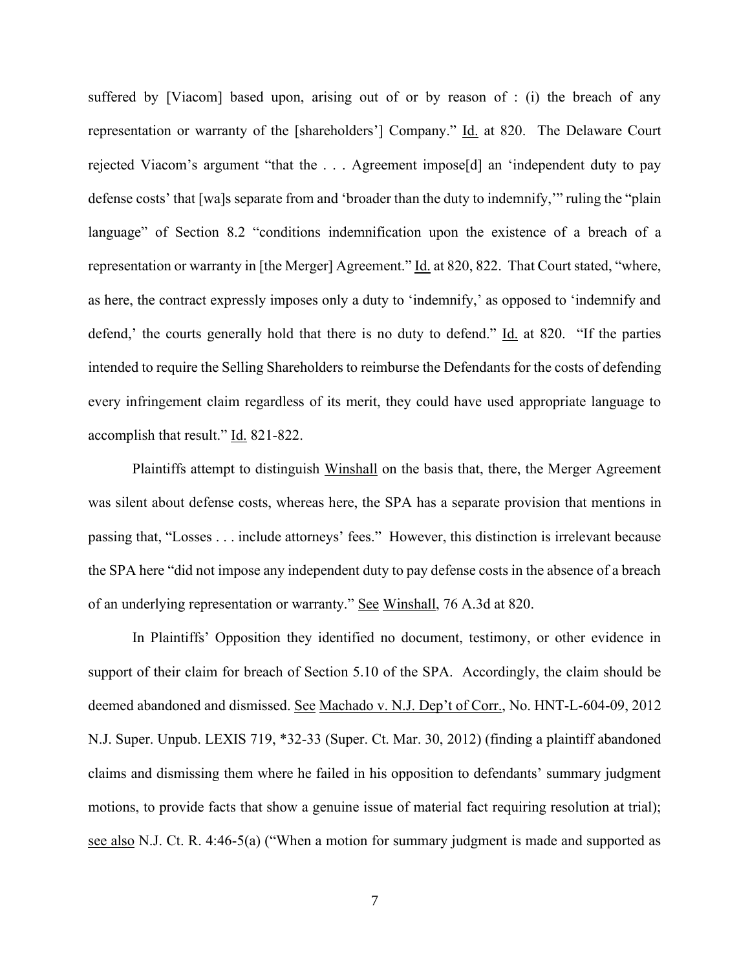suffered by [Viacom] based upon, arising out of or by reason of : (i) the breach of any representation or warranty of the [shareholders'] Company." Id. at 820. The Delaware Court rejected Viacom's argument "that the . . . Agreement impose[d] an 'independent duty to pay defense costs' that [wa]s separate from and 'broader than the duty to indemnify,'" ruling the "plain language" of Section 8.2 "conditions indemnification upon the existence of a breach of a representation or warranty in [the Merger] Agreement." Id. at 820, 822. That Court stated, "where, as here, the contract expressly imposes only a duty to 'indemnify,' as opposed to 'indemnify and defend,' the courts generally hold that there is no duty to defend." Id. at 820. "If the parties intended to require the Selling Shareholders to reimburse the Defendants for the costs of defending every infringement claim regardless of its merit, they could have used appropriate language to accomplish that result." Id. 821-822.

Plaintiffs attempt to distinguish Winshall on the basis that, there, the Merger Agreement was silent about defense costs, whereas here, the SPA has a separate provision that mentions in passing that, "Losses . . . include attorneys' fees." However, this distinction is irrelevant because the SPA here "did not impose any independent duty to pay defense costs in the absence of a breach of an underlying representation or warranty." See Winshall, 76 A.3d at 820.

In Plaintiffs' Opposition they identified no document, testimony, or other evidence in support of their claim for breach of Section 5.10 of the SPA. Accordingly, the claim should be deemed abandoned and dismissed. See Machado v. N.J. Dep't of Corr., No. HNT-L-604-09, 2012 N.J. Super. Unpub. LEXIS 719, \*32-33 (Super. Ct. Mar. 30, 2012) (finding a plaintiff abandoned claims and dismissing them where he failed in his opposition to defendants' summary judgment motions, to provide facts that show a genuine issue of material fact requiring resolution at trial); see also N.J. Ct. R. 4:46-5(a) ("When a motion for summary judgment is made and supported as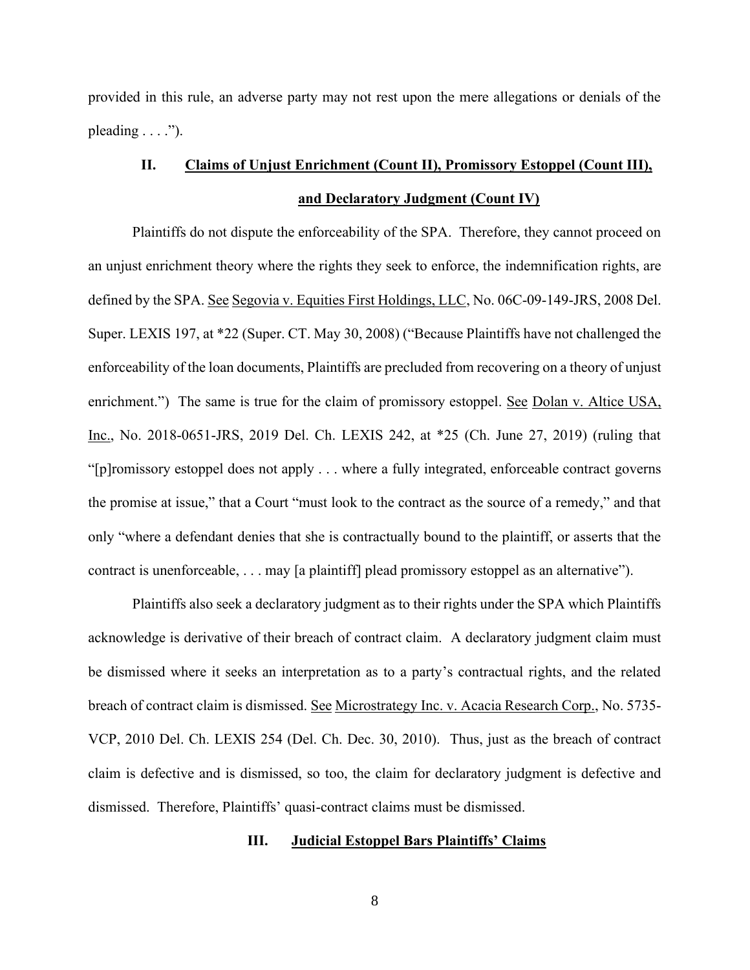provided in this rule, an adverse party may not rest upon the mere allegations or denials of the pleading  $\dots$ .").

# **II. Claims of Unjust Enrichment (Count II), Promissory Estoppel (Count III), and Declaratory Judgment (Count IV)**

Plaintiffs do not dispute the enforceability of the SPA. Therefore, they cannot proceed on an unjust enrichment theory where the rights they seek to enforce, the indemnification rights, are defined by the SPA. See Segovia v. Equities First Holdings, LLC, No. 06C-09-149-JRS, 2008 Del. Super. LEXIS 197, at \*22 (Super. CT. May 30, 2008) ("Because Plaintiffs have not challenged the enforceability of the loan documents, Plaintiffs are precluded from recovering on a theory of unjust enrichment.") The same is true for the claim of promissory estoppel. See Dolan v. Altice USA, Inc., No. 2018-0651-JRS, 2019 Del. Ch. LEXIS 242, at \*25 (Ch. June 27, 2019) (ruling that "[p]romissory estoppel does not apply . . . where a fully integrated, enforceable contract governs the promise at issue," that a Court "must look to the contract as the source of a remedy," and that only "where a defendant denies that she is contractually bound to the plaintiff, or asserts that the contract is unenforceable, . . . may [a plaintiff] plead promissory estoppel as an alternative").

Plaintiffs also seek a declaratory judgment as to their rights under the SPA which Plaintiffs acknowledge is derivative of their breach of contract claim. A declaratory judgment claim must be dismissed where it seeks an interpretation as to a party's contractual rights, and the related breach of contract claim is dismissed. See Microstrategy Inc. v. Acacia Research Corp., No. 5735- VCP, 2010 Del. Ch. LEXIS 254 (Del. Ch. Dec. 30, 2010). Thus, just as the breach of contract claim is defective and is dismissed, so too, the claim for declaratory judgment is defective and dismissed. Therefore, Plaintiffs' quasi-contract claims must be dismissed.

### **III. Judicial Estoppel Bars Plaintiffs' Claims**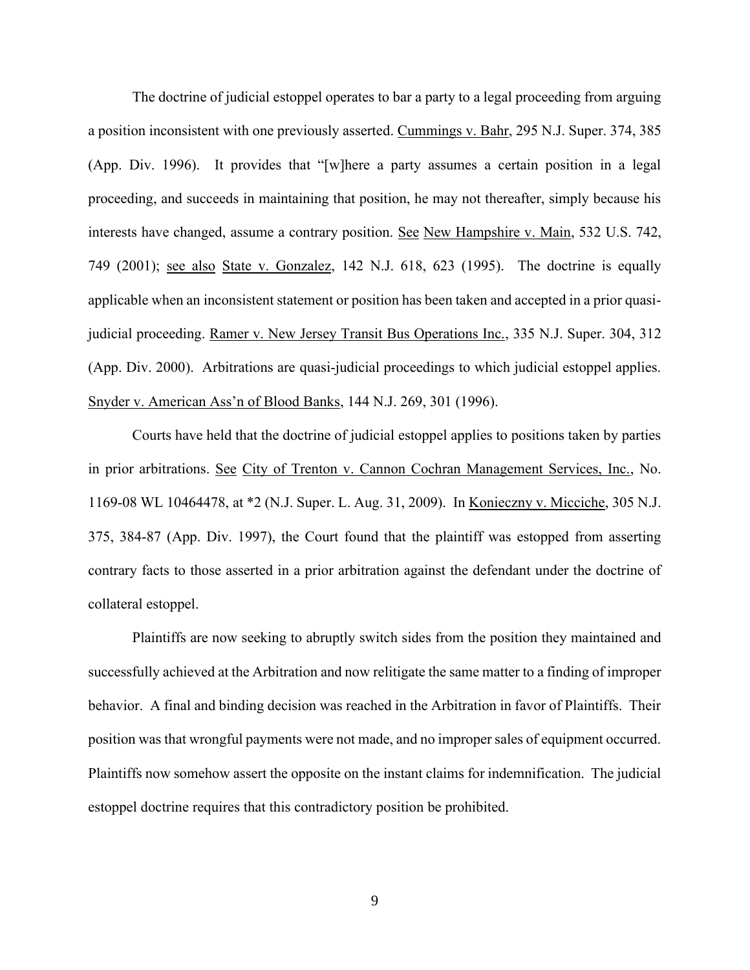The doctrine of judicial estoppel operates to bar a party to a legal proceeding from arguing a position inconsistent with one previously asserted. Cummings v. Bahr, 295 N.J. Super. 374, 385 (App. Div. 1996). It provides that "[w]here a party assumes a certain position in a legal proceeding, and succeeds in maintaining that position, he may not thereafter, simply because his interests have changed, assume a contrary position. See New Hampshire v. Main, 532 U.S. 742, 749 (2001); see also State v. Gonzalez, 142 N.J. 618, 623 (1995). The doctrine is equally applicable when an inconsistent statement or position has been taken and accepted in a prior quasijudicial proceeding. Ramer v. New Jersey Transit Bus Operations Inc., 335 N.J. Super. 304, 312 (App. Div. 2000). Arbitrations are quasi-judicial proceedings to which judicial estoppel applies. Snyder v. American Ass'n of Blood Banks, 144 N.J. 269, 301 (1996).

Courts have held that the doctrine of judicial estoppel applies to positions taken by parties in prior arbitrations. See City of Trenton v. Cannon Cochran Management Services, Inc., No. 1169-08 WL 10464478, at \*2 (N.J. Super. L. Aug. 31, 2009). In Konieczny v. Micciche, 305 N.J. 375, 384-87 (App. Div. 1997), the Court found that the plaintiff was estopped from asserting contrary facts to those asserted in a prior arbitration against the defendant under the doctrine of collateral estoppel.

Plaintiffs are now seeking to abruptly switch sides from the position they maintained and successfully achieved at the Arbitration and now relitigate the same matter to a finding of improper behavior. A final and binding decision was reached in the Arbitration in favor of Plaintiffs. Their position was that wrongful payments were not made, and no improper sales of equipment occurred. Plaintiffs now somehow assert the opposite on the instant claims for indemnification. The judicial estoppel doctrine requires that this contradictory position be prohibited.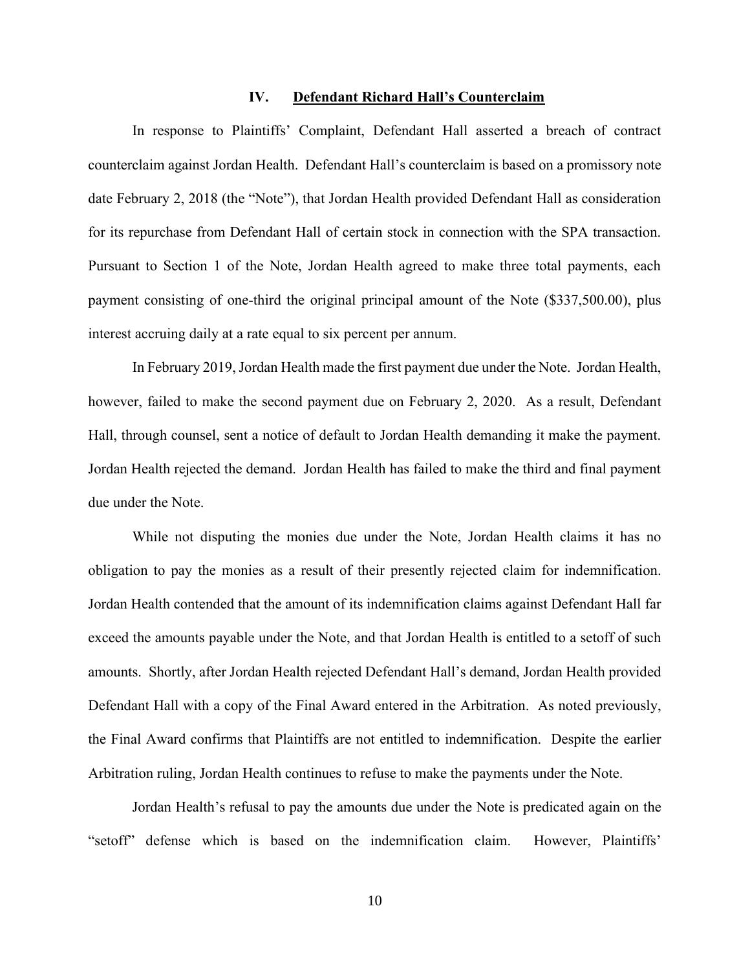#### **IV. Defendant Richard Hall's Counterclaim**

In response to Plaintiffs' Complaint, Defendant Hall asserted a breach of contract counterclaim against Jordan Health. Defendant Hall's counterclaim is based on a promissory note date February 2, 2018 (the "Note"), that Jordan Health provided Defendant Hall as consideration for its repurchase from Defendant Hall of certain stock in connection with the SPA transaction. Pursuant to Section 1 of the Note, Jordan Health agreed to make three total payments, each payment consisting of one-third the original principal amount of the Note (\$337,500.00), plus interest accruing daily at a rate equal to six percent per annum.

In February 2019, Jordan Health made the first payment due under the Note. Jordan Health, however, failed to make the second payment due on February 2, 2020. As a result, Defendant Hall, through counsel, sent a notice of default to Jordan Health demanding it make the payment. Jordan Health rejected the demand. Jordan Health has failed to make the third and final payment due under the Note.

While not disputing the monies due under the Note, Jordan Health claims it has no obligation to pay the monies as a result of their presently rejected claim for indemnification. Jordan Health contended that the amount of its indemnification claims against Defendant Hall far exceed the amounts payable under the Note, and that Jordan Health is entitled to a setoff of such amounts. Shortly, after Jordan Health rejected Defendant Hall's demand, Jordan Health provided Defendant Hall with a copy of the Final Award entered in the Arbitration. As noted previously, the Final Award confirms that Plaintiffs are not entitled to indemnification. Despite the earlier Arbitration ruling, Jordan Health continues to refuse to make the payments under the Note.

Jordan Health's refusal to pay the amounts due under the Note is predicated again on the "setoff" defense which is based on the indemnification claim. However, Plaintiffs'